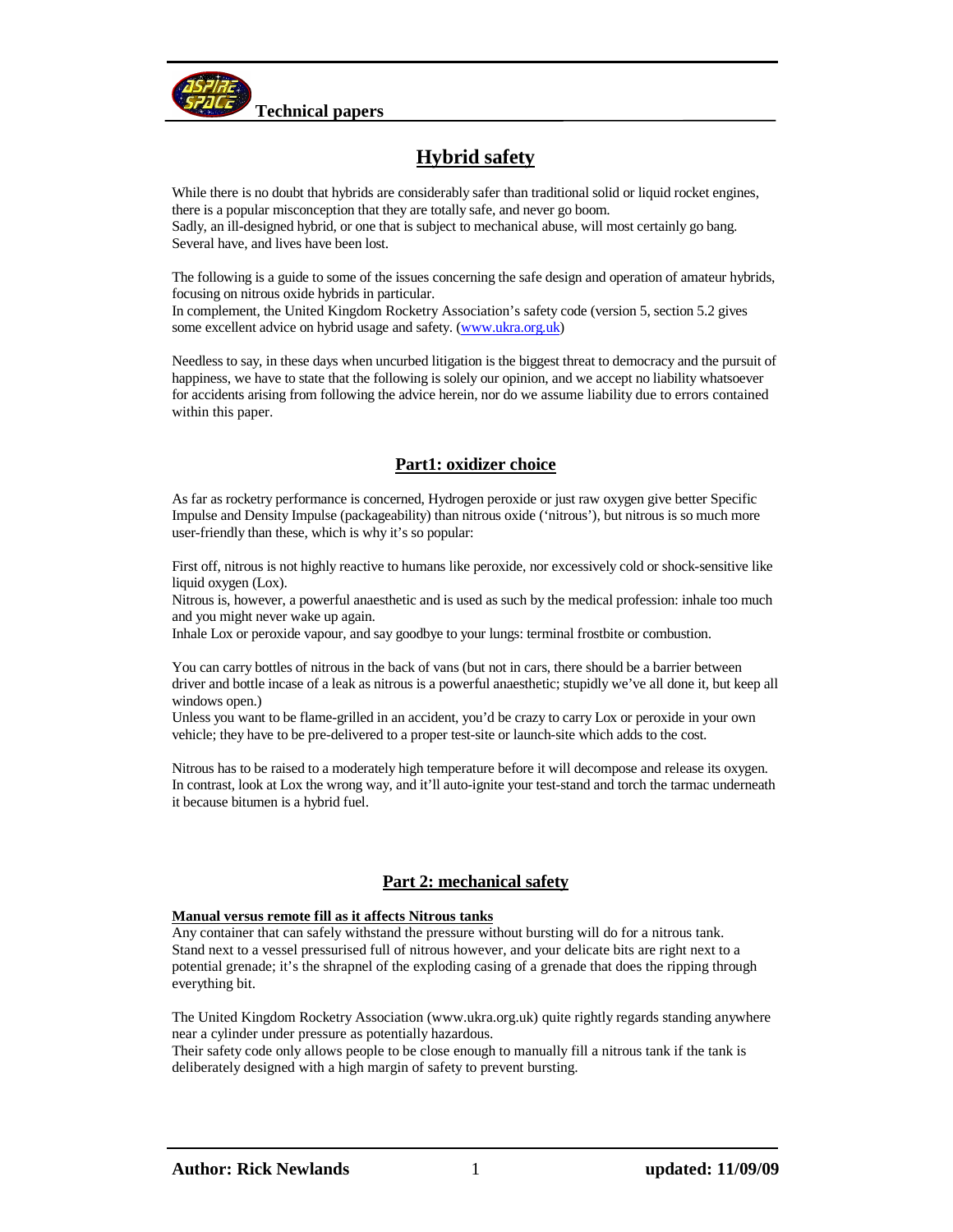

# **Hybrid safety**

While there is no doubt that hybrids are considerably safer than traditional solid or liquid rocket engines, there is a popular misconception that they are totally safe, and never go boom. Sadly, an ill-designed hybrid, or one that is subject to mechanical abuse, will most certainly go bang. Several have, and lives have been lost.

The following is a guide to some of the issues concerning the safe design and operation of amateur hybrids, focusing on nitrous oxide hybrids in particular.

In complement, the United Kingdom Rocketry Association's safety code (version 5, section 5.2 gives some excellent advice on hybrid usage and safety. (www.ukra.org.uk)

Needless to say, in these days when uncurbed litigation is the biggest threat to democracy and the pursuit of happiness, we have to state that the following is solely our opinion, and we accept no liability whatsoever for accidents arising from following the advice herein, nor do we assume liability due to errors contained within this paper.

# **Part1: oxidizer choice**

As far as rocketry performance is concerned, Hydrogen peroxide or just raw oxygen give better Specific Impulse and Density Impulse (packageability) than nitrous oxide ('nitrous'), but nitrous is so much more user-friendly than these, which is why it's so popular:

First off, nitrous is not highly reactive to humans like peroxide, nor excessively cold or shock-sensitive like liquid oxygen (Lox).

Nitrous is, however, a powerful anaesthetic and is used as such by the medical profession: inhale too much and you might never wake up again.

Inhale Lox or peroxide vapour, and say goodbye to your lungs: terminal frostbite or combustion.

You can carry bottles of nitrous in the back of vans (but not in cars, there should be a barrier between driver and bottle incase of a leak as nitrous is a powerful anaesthetic; stupidly we've all done it, but keep all windows open.)

Unless you want to be flame-grilled in an accident, you'd be crazy to carry Lox or peroxide in your own vehicle; they have to be pre-delivered to a proper test-site or launch-site which adds to the cost.

Nitrous has to be raised to a moderately high temperature before it will decompose and release its oxygen. In contrast, look at Lox the wrong way, and it'll auto-ignite your test-stand and torch the tarmac underneath it because bitumen is a hybrid fuel.

# **Part 2: mechanical safety**

## **Manual versus remote fill as it affects Nitrous tanks**

Any container that can safely withstand the pressure without bursting will do for a nitrous tank. Stand next to a vessel pressurised full of nitrous however, and your delicate bits are right next to a potential grenade; it's the shrapnel of the exploding casing of a grenade that does the ripping through everything bit.

The United Kingdom Rocketry Association (www.ukra.org.uk) quite rightly regards standing anywhere near a cylinder under pressure as potentially hazardous.

Their safety code only allows people to be close enough to manually fill a nitrous tank if the tank is deliberately designed with a high margin of safety to prevent bursting.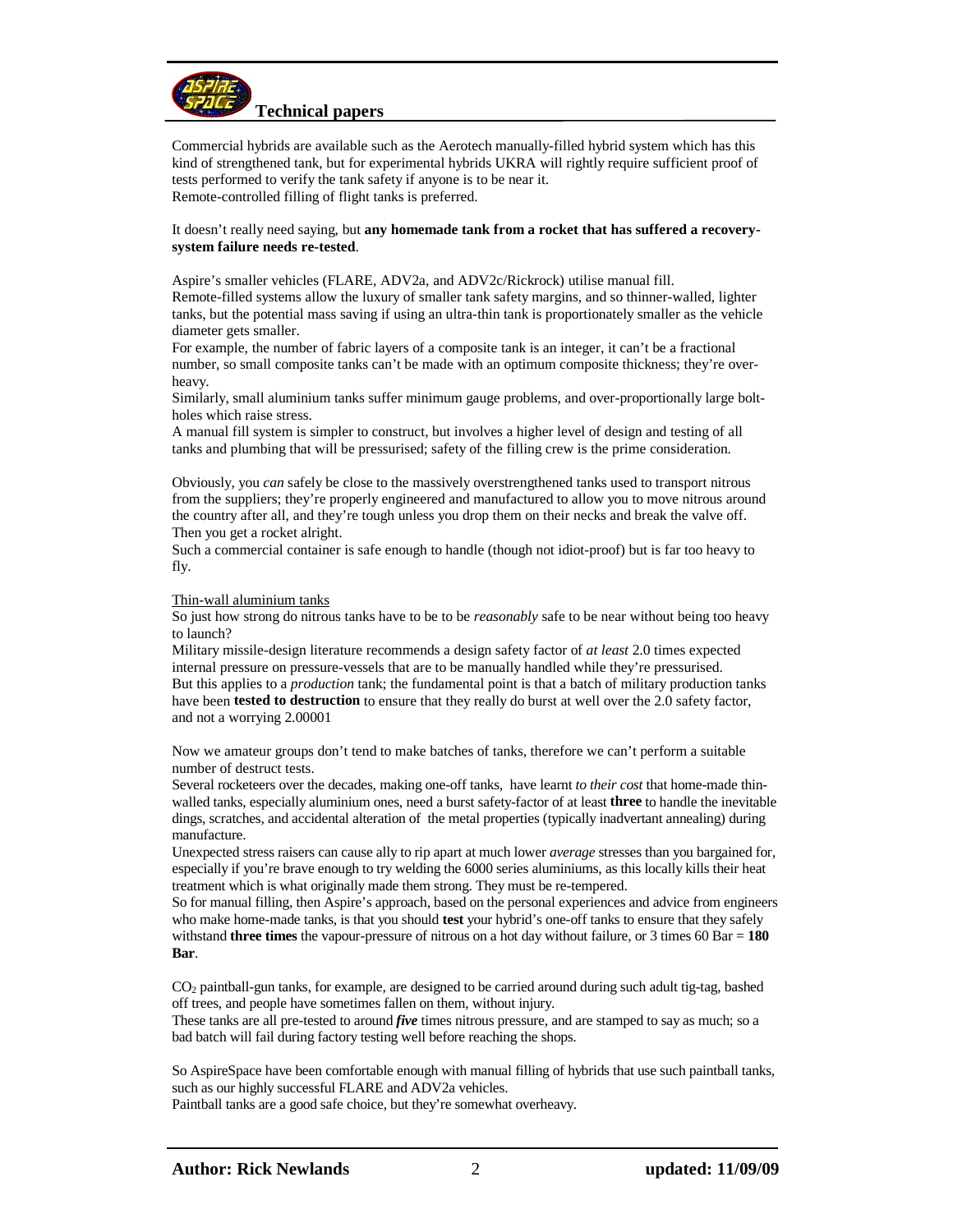

Commercial hybrids are available such as the Aerotech manually-filled hybrid system which has this kind of strengthened tank, but for experimental hybrids UKRA will rightly require sufficient proof of tests performed to verify the tank safety if anyone is to be near it. Remote-controlled filling of flight tanks is preferred.

## It doesn't really need saying, but **any homemade tank from a rocket that has suffered a recoverysystem failure needs re-tested**.

Aspire's smaller vehicles (FLARE, ADV2a, and ADV2c/Rickrock) utilise manual fill. Remote-filled systems allow the luxury of smaller tank safety margins, and so thinner-walled, lighter tanks, but the potential mass saving if using an ultra-thin tank is proportionately smaller as the vehicle diameter gets smaller.

For example, the number of fabric layers of a composite tank is an integer, it can't be a fractional number, so small composite tanks can't be made with an optimum composite thickness; they're overheavy.

Similarly, small aluminium tanks suffer minimum gauge problems, and over-proportionally large boltholes which raise stress.

A manual fill system is simpler to construct, but involves a higher level of design and testing of all tanks and plumbing that will be pressurised; safety of the filling crew is the prime consideration.

Obviously, you *can* safely be close to the massively overstrengthened tanks used to transport nitrous from the suppliers; they're properly engineered and manufactured to allow you to move nitrous around the country after all, and they're tough unless you drop them on their necks and break the valve off. Then you get a rocket alright.

Such a commercial container is safe enough to handle (though not idiot-proof) but is far too heavy to fly.

## Thin-wall aluminium tanks

So just how strong do nitrous tanks have to be to be *reasonably* safe to be near without being too heavy to launch?

Military missile-design literature recommends a design safety factor of *at least* 2.0 times expected internal pressure on pressure-vessels that are to be manually handled while they're pressurised. But this applies to a *production* tank; the fundamental point is that a batch of military production tanks have been **tested to destruction** to ensure that they really do burst at well over the 2.0 safety factor, and not a worrying 2.00001

Now we amateur groups don't tend to make batches of tanks, therefore we can't perform a suitable number of destruct tests.

Several rocketeers over the decades, making one-off tanks, have learnt *to their cost* that home-made thinwalled tanks, especially aluminium ones, need a burst safety-factor of at least **three** to handle the inevitable dings, scratches, and accidental alteration of the metal properties (typically inadvertant annealing) during manufacture.

Unexpected stress raisers can cause ally to rip apart at much lower *average* stresses than you bargained for, especially if you're brave enough to try welding the 6000 series aluminiums, as this locally kills their heat treatment which is what originally made them strong. They must be re-tempered.

So for manual filling, then Aspire's approach, based on the personal experiences and advice from engineers who make home-made tanks, is that you should **test** your hybrid's one-off tanks to ensure that they safely withstand **three times** the vapour-pressure of nitrous on a hot day without failure, or 3 times 60 Bar = **180 Bar**.

CO2 paintball-gun tanks, for example, are designed to be carried around during such adult tig-tag, bashed off trees, and people have sometimes fallen on them, without injury.

These tanks are all pre-tested to around *five* times nitrous pressure, and are stamped to say as much; so a bad batch will fail during factory testing well before reaching the shops.

So AspireSpace have been comfortable enough with manual filling of hybrids that use such paintball tanks, such as our highly successful FLARE and ADV2a vehicles.

Paintball tanks are a good safe choice, but they're somewhat overheavy.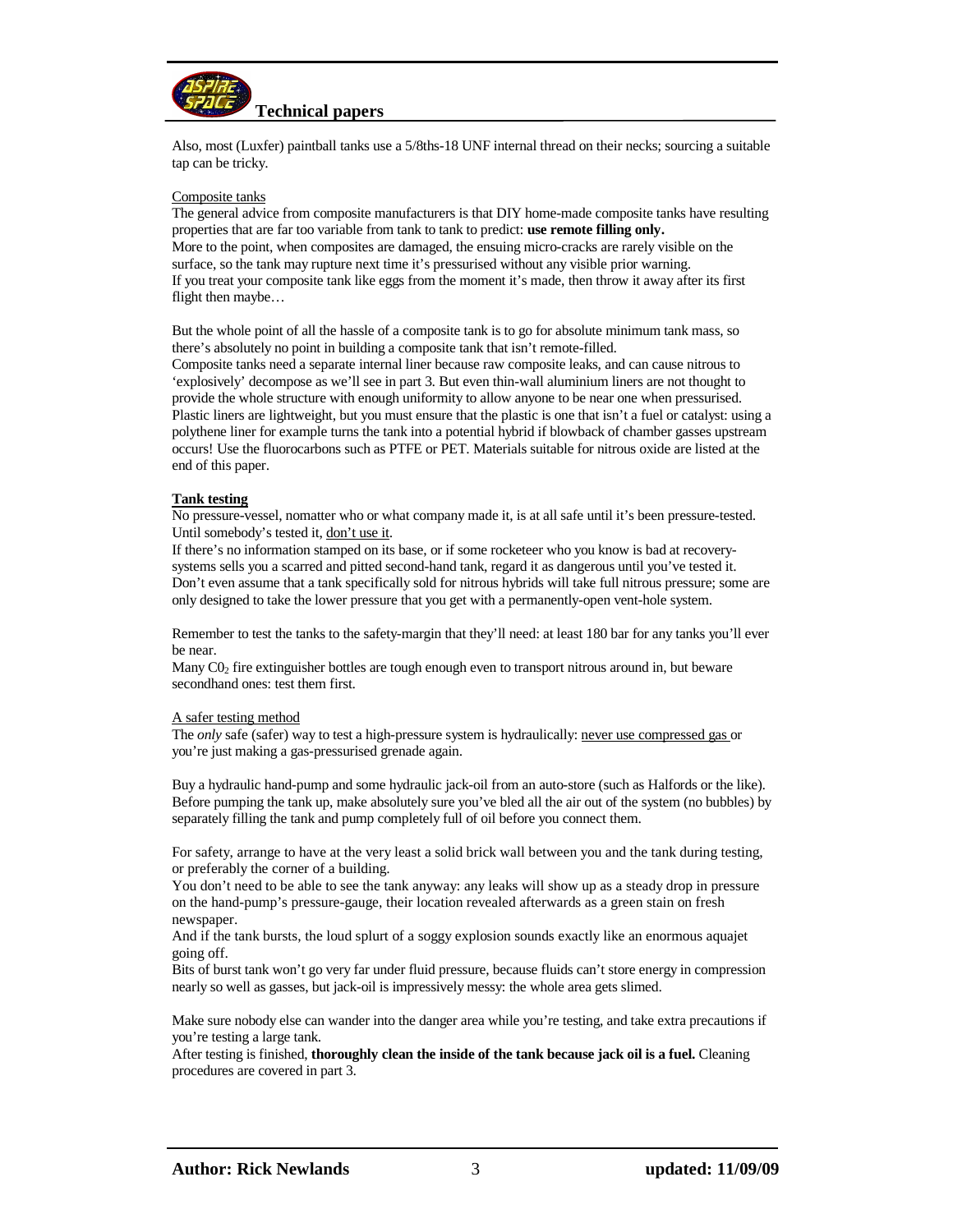

Also, most (Luxfer) paintball tanks use a 5/8ths-18 UNF internal thread on their necks; sourcing a suitable tap can be tricky.

#### Composite tanks

The general advice from composite manufacturers is that DIY home-made composite tanks have resulting properties that are far too variable from tank to tank to predict: **use remote filling only.**  More to the point, when composites are damaged, the ensuing micro-cracks are rarely visible on the surface, so the tank may rupture next time it's pressurised without any visible prior warning. If you treat your composite tank like eggs from the moment it's made, then throw it away after its first flight then maybe…

But the whole point of all the hassle of a composite tank is to go for absolute minimum tank mass, so there's absolutely no point in building a composite tank that isn't remote-filled.

Composite tanks need a separate internal liner because raw composite leaks, and can cause nitrous to 'explosively' decompose as we'll see in part 3. But even thin-wall aluminium liners are not thought to provide the whole structure with enough uniformity to allow anyone to be near one when pressurised. Plastic liners are lightweight, but you must ensure that the plastic is one that isn't a fuel or catalyst: using a polythene liner for example turns the tank into a potential hybrid if blowback of chamber gasses upstream occurs! Use the fluorocarbons such as PTFE or PET. Materials suitable for nitrous oxide are listed at the end of this paper.

#### **Tank testing**

No pressure-vessel, nomatter who or what company made it, is at all safe until it's been pressure-tested. Until somebody's tested it, don't use it.

If there's no information stamped on its base, or if some rocketeer who you know is bad at recoverysystems sells you a scarred and pitted second-hand tank, regard it as dangerous until you've tested it. Don't even assume that a tank specifically sold for nitrous hybrids will take full nitrous pressure; some are only designed to take the lower pressure that you get with a permanently-open vent-hole system.

Remember to test the tanks to the safety-margin that they'll need: at least 180 bar for any tanks you'll ever be near.

Many  $CO<sub>2</sub>$  fire extinguisher bottles are tough enough even to transport nitrous around in, but beware secondhand ones: test them first.

#### A safer testing method

The *only* safe (safer) way to test a high-pressure system is hydraulically: never use compressed gas or you're just making a gas-pressurised grenade again.

Buy a hydraulic hand-pump and some hydraulic jack-oil from an auto-store (such as Halfords or the like). Before pumping the tank up, make absolutely sure you've bled all the air out of the system (no bubbles) by separately filling the tank and pump completely full of oil before you connect them.

For safety, arrange to have at the very least a solid brick wall between you and the tank during testing, or preferably the corner of a building.

You don't need to be able to see the tank anyway: any leaks will show up as a steady drop in pressure on the hand-pump's pressure-gauge, their location revealed afterwards as a green stain on fresh newspaper.

And if the tank bursts, the loud splurt of a soggy explosion sounds exactly like an enormous aquajet going off.

Bits of burst tank won't go very far under fluid pressure, because fluids can't store energy in compression nearly so well as gasses, but jack-oil is impressively messy: the whole area gets slimed.

Make sure nobody else can wander into the danger area while you're testing, and take extra precautions if you're testing a large tank.

After testing is finished, **thoroughly clean the inside of the tank because jack oil is a fuel.** Cleaning procedures are covered in part 3.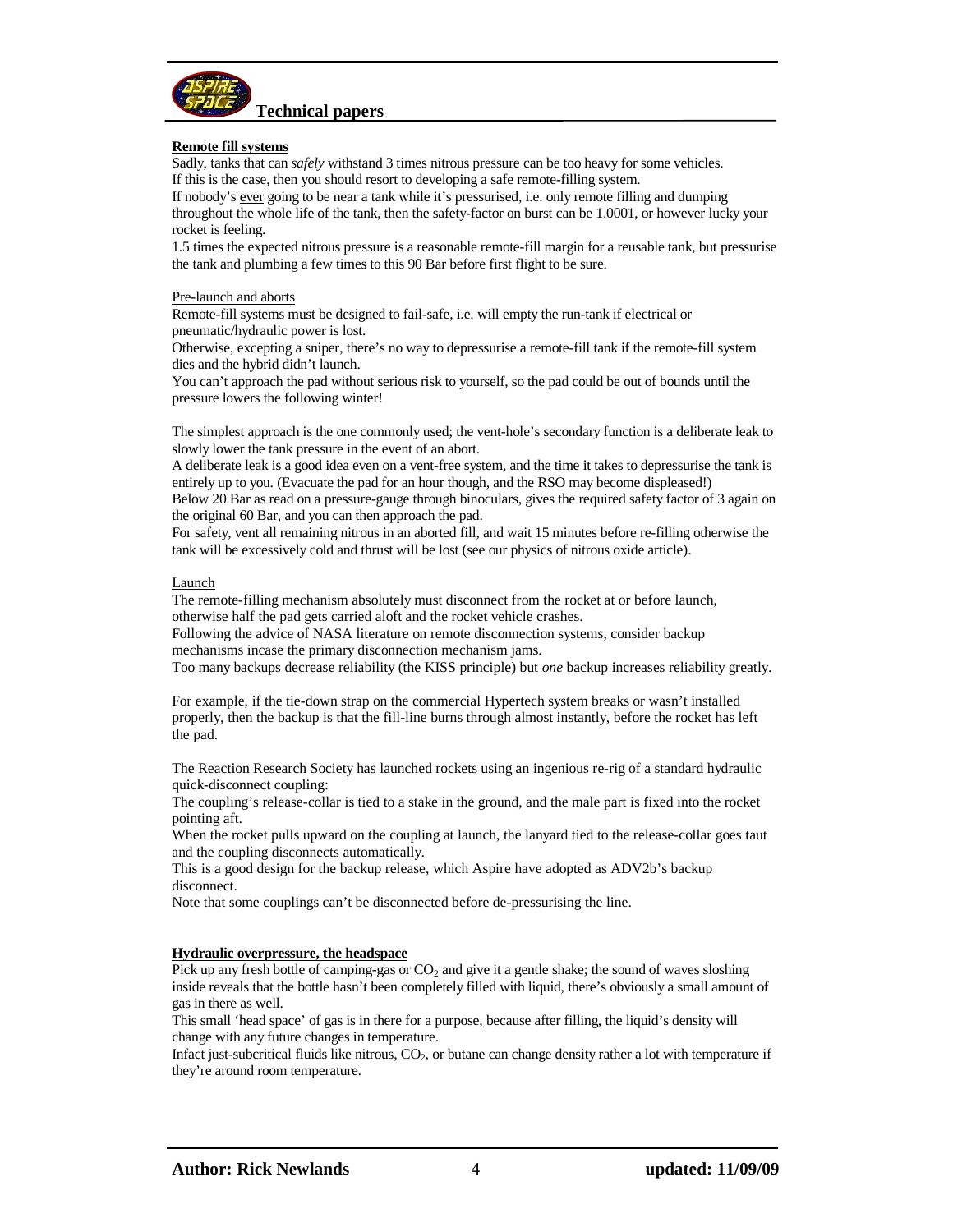

## **Remote fill systems**

Sadly, tanks that can *safely* withstand 3 times nitrous pressure can be too heavy for some vehicles. If this is the case, then you should resort to developing a safe remote-filling system.

If nobody's ever going to be near a tank while it's pressurised, i.e. only remote filling and dumping throughout the whole life of the tank, then the safety-factor on burst can be 1.0001, or however lucky your rocket is feeling.

1.5 times the expected nitrous pressure is a reasonable remote-fill margin for a reusable tank, but pressurise the tank and plumbing a few times to this 90 Bar before first flight to be sure.

#### Pre-launch and aborts

Remote-fill systems must be designed to fail-safe, i.e. will empty the run-tank if electrical or pneumatic/hydraulic power is lost.

Otherwise, excepting a sniper, there's no way to depressurise a remote-fill tank if the remote-fill system dies and the hybrid didn't launch.

You can't approach the pad without serious risk to yourself, so the pad could be out of bounds until the pressure lowers the following winter!

The simplest approach is the one commonly used; the vent-hole's secondary function is a deliberate leak to slowly lower the tank pressure in the event of an abort.

A deliberate leak is a good idea even on a vent-free system, and the time it takes to depressurise the tank is entirely up to you. (Evacuate the pad for an hour though, and the RSO may become displeased!)

Below 20 Bar as read on a pressure-gauge through binoculars, gives the required safety factor of 3 again on the original 60 Bar, and you can then approach the pad.

For safety, vent all remaining nitrous in an aborted fill, and wait 15 minutes before re-filling otherwise the tank will be excessively cold and thrust will be lost (see our physics of nitrous oxide article).

#### **Launch**

The remote-filling mechanism absolutely must disconnect from the rocket at or before launch, otherwise half the pad gets carried aloft and the rocket vehicle crashes.

Following the advice of NASA literature on remote disconnection systems, consider backup mechanisms incase the primary disconnection mechanism jams.

Too many backups decrease reliability (the KISS principle) but *one* backup increases reliability greatly.

For example, if the tie-down strap on the commercial Hypertech system breaks or wasn't installed properly, then the backup is that the fill-line burns through almost instantly, before the rocket has left the pad.

The Reaction Research Society has launched rockets using an ingenious re-rig of a standard hydraulic quick-disconnect coupling:

The coupling's release-collar is tied to a stake in the ground, and the male part is fixed into the rocket pointing aft.

When the rocket pulls upward on the coupling at launch, the lanyard tied to the release-collar goes taut and the coupling disconnects automatically.

This is a good design for the backup release, which Aspire have adopted as ADV2b's backup disconnect.

Note that some couplings can't be disconnected before de-pressurising the line.

#### **Hydraulic overpressure, the headspace**

Pick up any fresh bottle of camping-gas or  $CO<sub>2</sub>$  and give it a gentle shake; the sound of waves sloshing inside reveals that the bottle hasn't been completely filled with liquid, there's obviously a small amount of gas in there as well.

This small 'head space' of gas is in there for a purpose, because after filling, the liquid's density will change with any future changes in temperature.

Infact just-subcritical fluids like nitrous,  $CO<sub>2</sub>$ , or butane can change density rather a lot with temperature if they're around room temperature.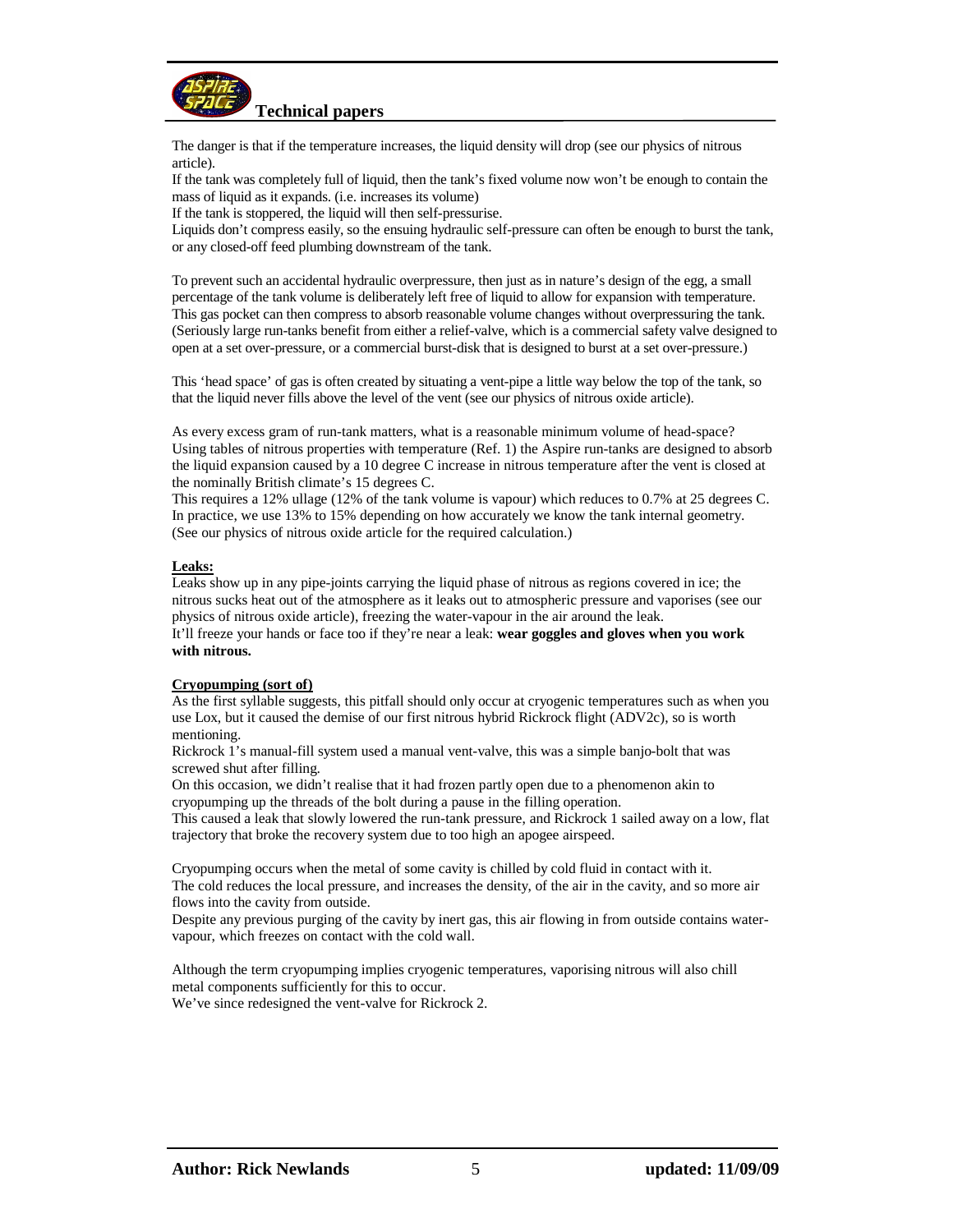

The danger is that if the temperature increases, the liquid density will drop (see our physics of nitrous article).

If the tank was completely full of liquid, then the tank's fixed volume now won't be enough to contain the mass of liquid as it expands. (i.e. increases its volume)

If the tank is stoppered, the liquid will then self-pressurise.

Liquids don't compress easily, so the ensuing hydraulic self-pressure can often be enough to burst the tank, or any closed-off feed plumbing downstream of the tank.

To prevent such an accidental hydraulic overpressure, then just as in nature's design of the egg, a small percentage of the tank volume is deliberately left free of liquid to allow for expansion with temperature. This gas pocket can then compress to absorb reasonable volume changes without overpressuring the tank. (Seriously large run-tanks benefit from either a relief-valve, which is a commercial safety valve designed to open at a set over-pressure, or a commercial burst-disk that is designed to burst at a set over-pressure.)

This 'head space' of gas is often created by situating a vent-pipe a little way below the top of the tank, so that the liquid never fills above the level of the vent (see our physics of nitrous oxide article).

As every excess gram of run-tank matters, what is a reasonable minimum volume of head-space? Using tables of nitrous properties with temperature (Ref. 1) the Aspire run-tanks are designed to absorb the liquid expansion caused by a 10 degree C increase in nitrous temperature after the vent is closed at the nominally British climate's 15 degrees C.

This requires a 12% ullage (12% of the tank volume is vapour) which reduces to 0.7% at 25 degrees C. In practice, we use 13% to 15% depending on how accurately we know the tank internal geometry. (See our physics of nitrous oxide article for the required calculation.)

## **Leaks:**

Leaks show up in any pipe-joints carrying the liquid phase of nitrous as regions covered in ice; the nitrous sucks heat out of the atmosphere as it leaks out to atmospheric pressure and vaporises (see our physics of nitrous oxide article), freezing the water-vapour in the air around the leak. It'll freeze your hands or face too if they're near a leak: **wear goggles and gloves when you work with nitrous.** 

## **Cryopumping (sort of)**

As the first syllable suggests, this pitfall should only occur at cryogenic temperatures such as when you use Lox, but it caused the demise of our first nitrous hybrid Rickrock flight (ADV2c), so is worth mentioning.

Rickrock 1's manual-fill system used a manual vent-valve, this was a simple banjo-bolt that was screwed shut after filling.

On this occasion, we didn't realise that it had frozen partly open due to a phenomenon akin to cryopumping up the threads of the bolt during a pause in the filling operation.

This caused a leak that slowly lowered the run-tank pressure, and Rickrock 1 sailed away on a low, flat trajectory that broke the recovery system due to too high an apogee airspeed.

Cryopumping occurs when the metal of some cavity is chilled by cold fluid in contact with it. The cold reduces the local pressure, and increases the density, of the air in the cavity, and so more air flows into the cavity from outside.

Despite any previous purging of the cavity by inert gas, this air flowing in from outside contains watervapour, which freezes on contact with the cold wall.

Although the term cryopumping implies cryogenic temperatures, vaporising nitrous will also chill metal components sufficiently for this to occur.

We've since redesigned the vent-valve for Rickrock 2.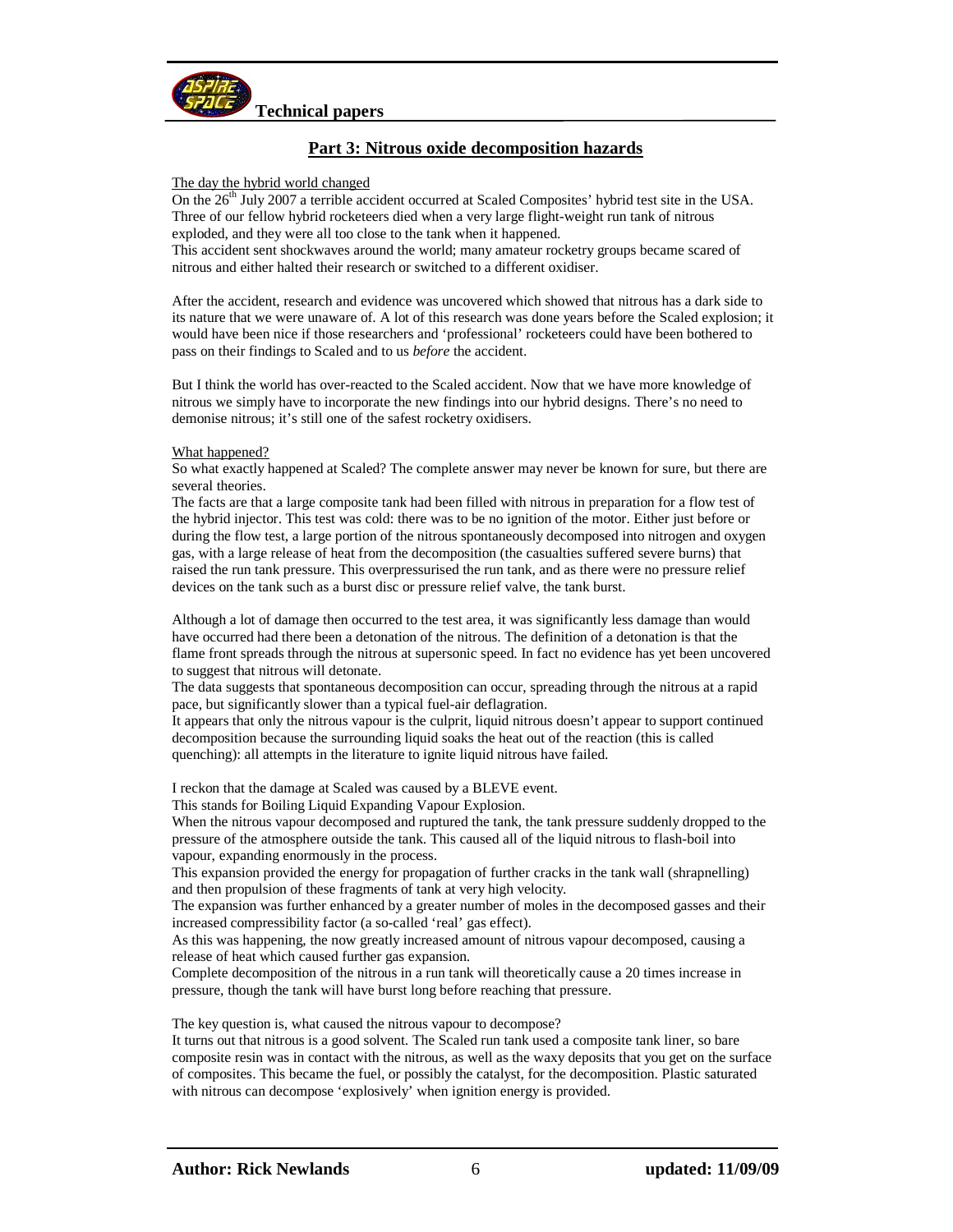

# **Part 3: Nitrous oxide decomposition hazards**

## The day the hybrid world changed

On the 26<sup>th</sup> July 2007 a terrible accident occurred at Scaled Composites' hybrid test site in the USA. Three of our fellow hybrid rocketeers died when a very large flight-weight run tank of nitrous exploded, and they were all too close to the tank when it happened.

This accident sent shockwaves around the world; many amateur rocketry groups became scared of nitrous and either halted their research or switched to a different oxidiser.

After the accident, research and evidence was uncovered which showed that nitrous has a dark side to its nature that we were unaware of. A lot of this research was done years before the Scaled explosion; it would have been nice if those researchers and 'professional' rocketeers could have been bothered to pass on their findings to Scaled and to us *before* the accident.

But I think the world has over-reacted to the Scaled accident. Now that we have more knowledge of nitrous we simply have to incorporate the new findings into our hybrid designs. There's no need to demonise nitrous; it's still one of the safest rocketry oxidisers.

## What happened?

So what exactly happened at Scaled? The complete answer may never be known for sure, but there are several theories.

The facts are that a large composite tank had been filled with nitrous in preparation for a flow test of the hybrid injector. This test was cold: there was to be no ignition of the motor. Either just before or during the flow test, a large portion of the nitrous spontaneously decomposed into nitrogen and oxygen gas, with a large release of heat from the decomposition (the casualties suffered severe burns) that raised the run tank pressure. This overpressurised the run tank, and as there were no pressure relief devices on the tank such as a burst disc or pressure relief valve, the tank burst.

Although a lot of damage then occurred to the test area, it was significantly less damage than would have occurred had there been a detonation of the nitrous. The definition of a detonation is that the flame front spreads through the nitrous at supersonic speed. In fact no evidence has yet been uncovered to suggest that nitrous will detonate.

The data suggests that spontaneous decomposition can occur, spreading through the nitrous at a rapid pace, but significantly slower than a typical fuel-air deflagration.

It appears that only the nitrous vapour is the culprit, liquid nitrous doesn't appear to support continued decomposition because the surrounding liquid soaks the heat out of the reaction (this is called quenching): all attempts in the literature to ignite liquid nitrous have failed.

I reckon that the damage at Scaled was caused by a BLEVE event.

This stands for Boiling Liquid Expanding Vapour Explosion.

When the nitrous vapour decomposed and ruptured the tank, the tank pressure suddenly dropped to the pressure of the atmosphere outside the tank. This caused all of the liquid nitrous to flash-boil into vapour, expanding enormously in the process.

This expansion provided the energy for propagation of further cracks in the tank wall (shrapnelling) and then propulsion of these fragments of tank at very high velocity.

The expansion was further enhanced by a greater number of moles in the decomposed gasses and their increased compressibility factor (a so-called 'real' gas effect).

As this was happening, the now greatly increased amount of nitrous vapour decomposed, causing a release of heat which caused further gas expansion.

Complete decomposition of the nitrous in a run tank will theoretically cause a 20 times increase in pressure, though the tank will have burst long before reaching that pressure.

The key question is, what caused the nitrous vapour to decompose?

It turns out that nitrous is a good solvent. The Scaled run tank used a composite tank liner, so bare composite resin was in contact with the nitrous, as well as the waxy deposits that you get on the surface of composites. This became the fuel, or possibly the catalyst, for the decomposition. Plastic saturated with nitrous can decompose 'explosively' when ignition energy is provided.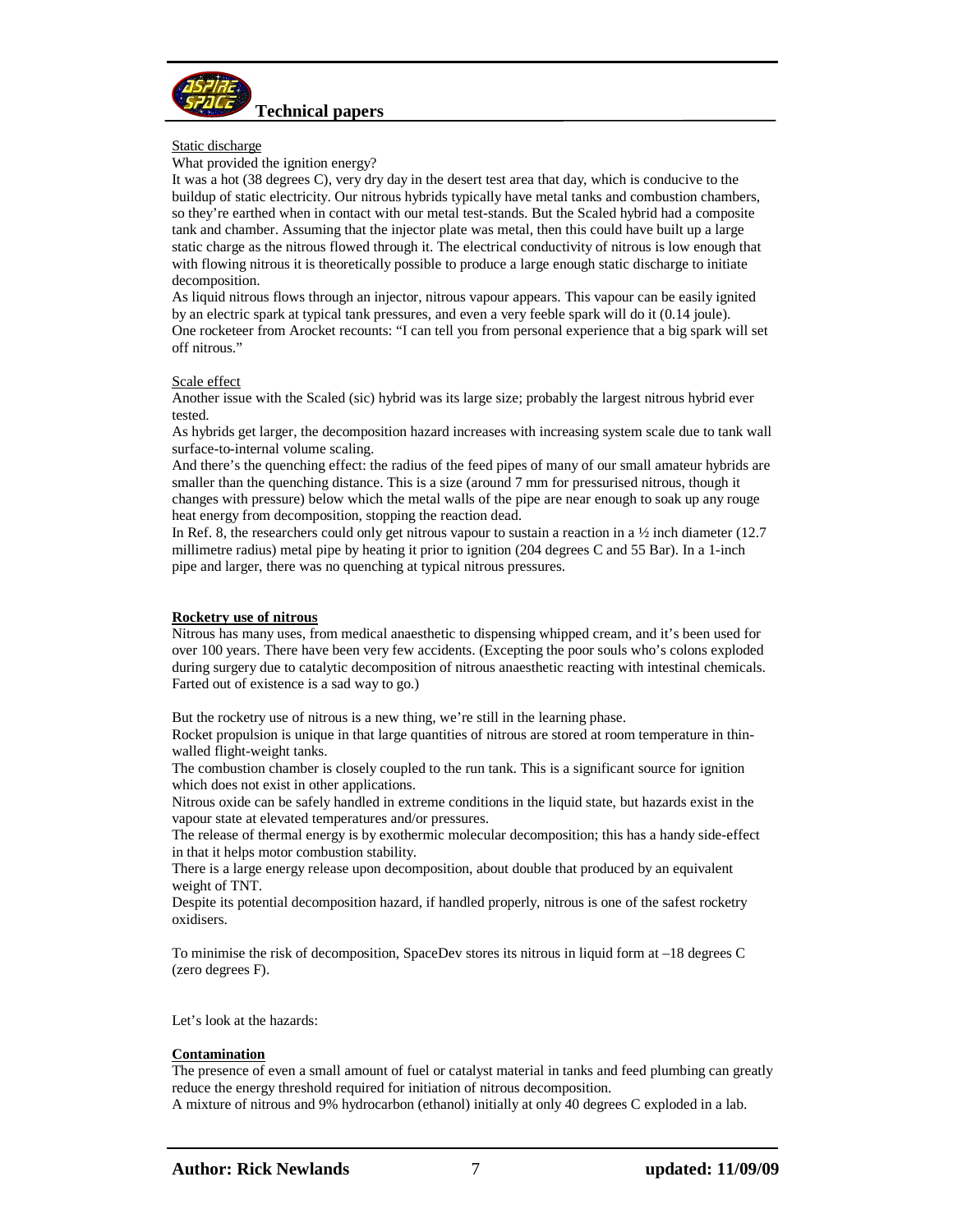

## Static discharge

What provided the ignition energy?

It was a hot (38 degrees C), very dry day in the desert test area that day, which is conducive to the buildup of static electricity. Our nitrous hybrids typically have metal tanks and combustion chambers, so they're earthed when in contact with our metal test-stands. But the Scaled hybrid had a composite tank and chamber. Assuming that the injector plate was metal, then this could have built up a large static charge as the nitrous flowed through it. The electrical conductivity of nitrous is low enough that with flowing nitrous it is theoretically possible to produce a large enough static discharge to initiate decomposition.

As liquid nitrous flows through an injector, nitrous vapour appears. This vapour can be easily ignited by an electric spark at typical tank pressures, and even a very feeble spark will do it (0.14 joule). One rocketeer from Arocket recounts: "I can tell you from personal experience that a big spark will set off nitrous."

## Scale effect

Another issue with the Scaled (sic) hybrid was its large size; probably the largest nitrous hybrid ever tested.

As hybrids get larger, the decomposition hazard increases with increasing system scale due to tank wall surface-to-internal volume scaling.

And there's the quenching effect: the radius of the feed pipes of many of our small amateur hybrids are smaller than the quenching distance. This is a size (around 7 mm for pressurised nitrous, though it changes with pressure) below which the metal walls of the pipe are near enough to soak up any rouge heat energy from decomposition, stopping the reaction dead.

In Ref. 8, the researchers could only get nitrous vapour to sustain a reaction in a  $\frac{1}{2}$  inch diameter (12.7) millimetre radius) metal pipe by heating it prior to ignition (204 degrees C and 55 Bar). In a 1-inch pipe and larger, there was no quenching at typical nitrous pressures.

## **Rocketry use of nitrous**

Nitrous has many uses, from medical anaesthetic to dispensing whipped cream, and it's been used for over 100 years. There have been very few accidents. (Excepting the poor souls who's colons exploded during surgery due to catalytic decomposition of nitrous anaesthetic reacting with intestinal chemicals. Farted out of existence is a sad way to go.)

But the rocketry use of nitrous is a new thing, we're still in the learning phase.

Rocket propulsion is unique in that large quantities of nitrous are stored at room temperature in thinwalled flight-weight tanks.

The combustion chamber is closely coupled to the run tank. This is a significant source for ignition which does not exist in other applications.

Nitrous oxide can be safely handled in extreme conditions in the liquid state, but hazards exist in the vapour state at elevated temperatures and/or pressures.

The release of thermal energy is by exothermic molecular decomposition; this has a handy side-effect in that it helps motor combustion stability.

There is a large energy release upon decomposition, about double that produced by an equivalent weight of TNT.

Despite its potential decomposition hazard, if handled properly, nitrous is one of the safest rocketry oxidisers.

To minimise the risk of decomposition, SpaceDev stores its nitrous in liquid form at –18 degrees C (zero degrees F).

Let's look at the hazards:

## **Contamination**

The presence of even a small amount of fuel or catalyst material in tanks and feed plumbing can greatly reduce the energy threshold required for initiation of nitrous decomposition.

A mixture of nitrous and 9% hydrocarbon (ethanol) initially at only 40 degrees C exploded in a lab.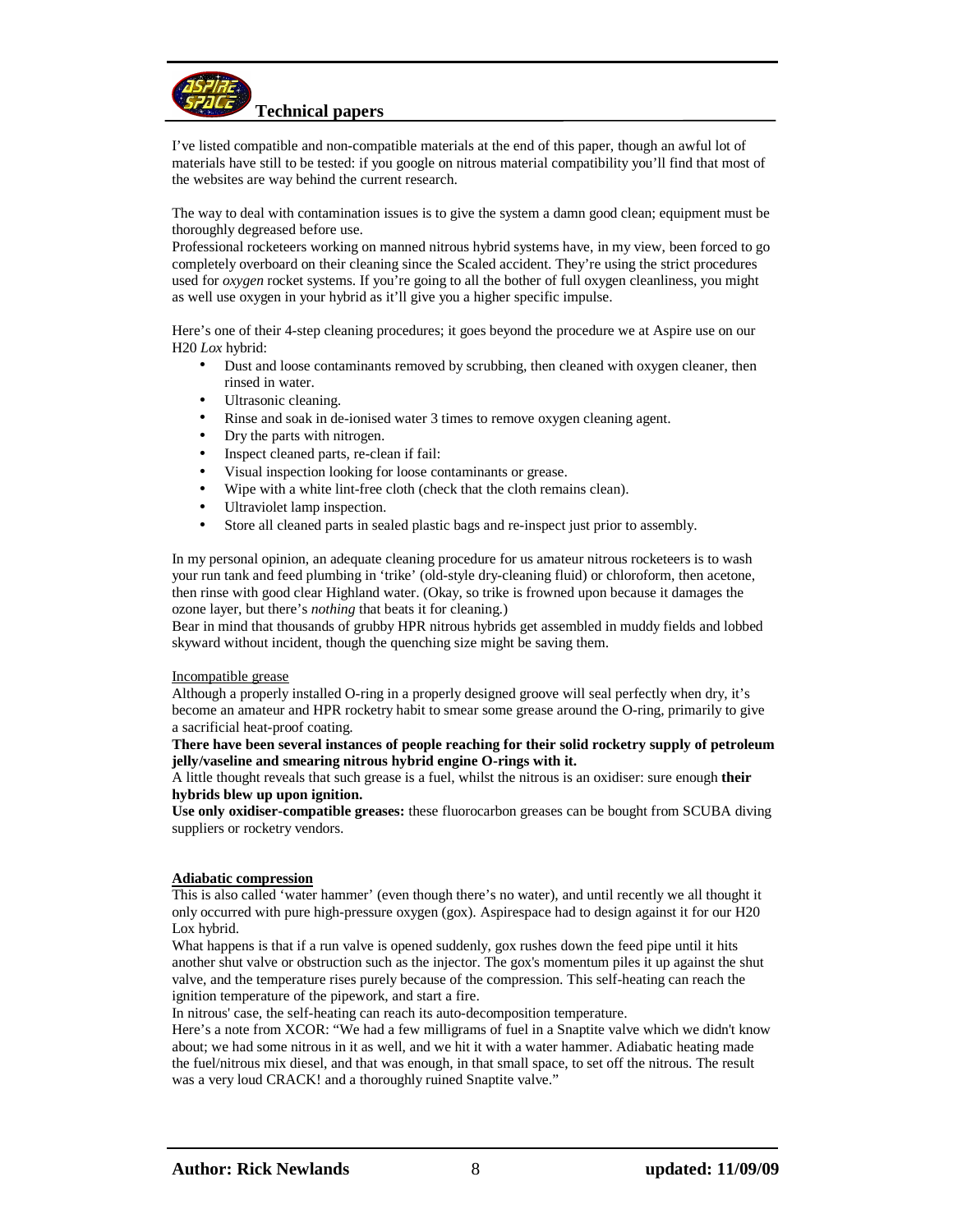

I've listed compatible and non-compatible materials at the end of this paper, though an awful lot of materials have still to be tested: if you google on nitrous material compatibility you'll find that most of the websites are way behind the current research.

The way to deal with contamination issues is to give the system a damn good clean; equipment must be thoroughly degreased before use.

Professional rocketeers working on manned nitrous hybrid systems have, in my view, been forced to go completely overboard on their cleaning since the Scaled accident. They're using the strict procedures used for *oxygen* rocket systems. If you're going to all the bother of full oxygen cleanliness, you might as well use oxygen in your hybrid as it'll give you a higher specific impulse.

Here's one of their 4-step cleaning procedures; it goes beyond the procedure we at Aspire use on our H20 *Lox* hybrid:

- Dust and loose contaminants removed by scrubbing, then cleaned with oxygen cleaner, then rinsed in water.
- Ultrasonic cleaning.
- Rinse and soak in de-ionised water 3 times to remove oxygen cleaning agent.
- Dry the parts with nitrogen.
- Inspect cleaned parts, re-clean if fail:
- Visual inspection looking for loose contaminants or grease.
- Wipe with a white lint-free cloth (check that the cloth remains clean).
- Ultraviolet lamp inspection.
- Store all cleaned parts in sealed plastic bags and re-inspect just prior to assembly.

In my personal opinion, an adequate cleaning procedure for us amateur nitrous rocketeers is to wash your run tank and feed plumbing in 'trike' (old-style dry-cleaning fluid) or chloroform, then acetone, then rinse with good clear Highland water. (Okay, so trike is frowned upon because it damages the ozone layer, but there's *nothing* that beats it for cleaning.)

Bear in mind that thousands of grubby HPR nitrous hybrids get assembled in muddy fields and lobbed skyward without incident, though the quenching size might be saving them.

#### Incompatible grease

Although a properly installed O-ring in a properly designed groove will seal perfectly when dry, it's become an amateur and HPR rocketry habit to smear some grease around the O-ring, primarily to give a sacrificial heat-proof coating.

## **There have been several instances of people reaching for their solid rocketry supply of petroleum jelly/vaseline and smearing nitrous hybrid engine O-rings with it.**

A little thought reveals that such grease is a fuel, whilst the nitrous is an oxidiser: sure enough **their hybrids blew up upon ignition.** 

**Use only oxidiser-compatible greases:** these fluorocarbon greases can be bought from SCUBA diving suppliers or rocketry vendors.

## **Adiabatic compression**

This is also called 'water hammer' (even though there's no water), and until recently we all thought it only occurred with pure high-pressure oxygen (gox). Aspirespace had to design against it for our H20 Lox hybrid.

What happens is that if a run valve is opened suddenly, gox rushes down the feed pipe until it hits another shut valve or obstruction such as the injector. The gox's momentum piles it up against the shut valve, and the temperature rises purely because of the compression. This self-heating can reach the ignition temperature of the pipework, and start a fire.

In nitrous' case, the self-heating can reach its auto-decomposition temperature.

Here's a note from XCOR: "We had a few milligrams of fuel in a Snaptite valve which we didn't know about; we had some nitrous in it as well, and we hit it with a water hammer. Adiabatic heating made the fuel/nitrous mix diesel, and that was enough, in that small space, to set off the nitrous. The result was a very loud CRACK! and a thoroughly ruined Snaptite valve."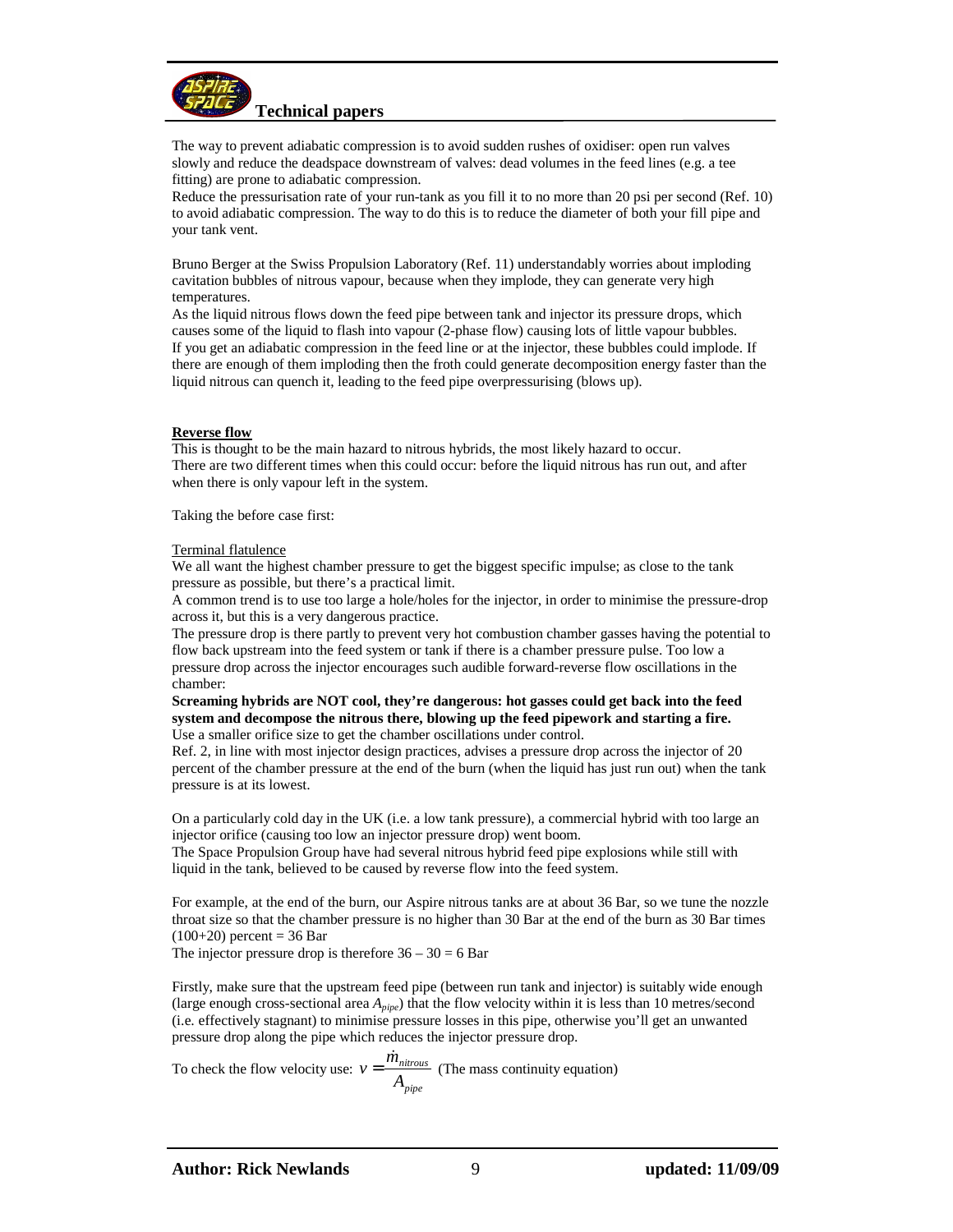

The way to prevent adiabatic compression is to avoid sudden rushes of oxidiser: open run valves slowly and reduce the deadspace downstream of valves: dead volumes in the feed lines (e.g. a tee fitting) are prone to adiabatic compression.

Reduce the pressurisation rate of your run-tank as you fill it to no more than 20 psi per second (Ref. 10) to avoid adiabatic compression. The way to do this is to reduce the diameter of both your fill pipe and your tank vent.

Bruno Berger at the Swiss Propulsion Laboratory (Ref. 11) understandably worries about imploding cavitation bubbles of nitrous vapour, because when they implode, they can generate very high temperatures.

As the liquid nitrous flows down the feed pipe between tank and injector its pressure drops, which causes some of the liquid to flash into vapour (2-phase flow) causing lots of little vapour bubbles. If you get an adiabatic compression in the feed line or at the injector, these bubbles could implode. If there are enough of them imploding then the froth could generate decomposition energy faster than the liquid nitrous can quench it, leading to the feed pipe overpressurising (blows up).

## **Reverse flow**

This is thought to be the main hazard to nitrous hybrids, the most likely hazard to occur. There are two different times when this could occur: before the liquid nitrous has run out, and after when there is only vapour left in the system.

Taking the before case first:

## Terminal flatulence

We all want the highest chamber pressure to get the biggest specific impulse; as close to the tank pressure as possible, but there's a practical limit.

A common trend is to use too large a hole/holes for the injector, in order to minimise the pressure-drop across it, but this is a very dangerous practice.

The pressure drop is there partly to prevent very hot combustion chamber gasses having the potential to flow back upstream into the feed system or tank if there is a chamber pressure pulse. Too low a pressure drop across the injector encourages such audible forward-reverse flow oscillations in the chamber:

**Screaming hybrids are NOT cool, they're dangerous: hot gasses could get back into the feed system and decompose the nitrous there, blowing up the feed pipework and starting a fire.**  Use a smaller orifice size to get the chamber oscillations under control.

Ref. 2, in line with most injector design practices, advises a pressure drop across the injector of 20 percent of the chamber pressure at the end of the burn (when the liquid has just run out) when the tank pressure is at its lowest.

On a particularly cold day in the UK (i.e. a low tank pressure), a commercial hybrid with too large an injector orifice (causing too low an injector pressure drop) went boom.

The Space Propulsion Group have had several nitrous hybrid feed pipe explosions while still with liquid in the tank, believed to be caused by reverse flow into the feed system.

For example, at the end of the burn, our Aspire nitrous tanks are at about 36 Bar, so we tune the nozzle throat size so that the chamber pressure is no higher than 30 Bar at the end of the burn as 30 Bar times  $(100+20)$  percent = 36 Bar

The injector pressure drop is therefore  $36 - 30 = 6$  Bar

Firstly, make sure that the upstream feed pipe (between run tank and injector) is suitably wide enough (large enough cross-sectional area *Apipe*) that the flow velocity within it is less than 10 metres/second (i.e. effectively stagnant) to minimise pressure losses in this pipe, otherwise you'll get an unwanted pressure drop along the pipe which reduces the injector pressure drop.

To check the flow velocity use: *pipe nitrous A*  $v = \frac{\dot{m}}{2}$ .<br>K  $=\frac{m_{nitrous}}{4}$  (The mass continuity equation)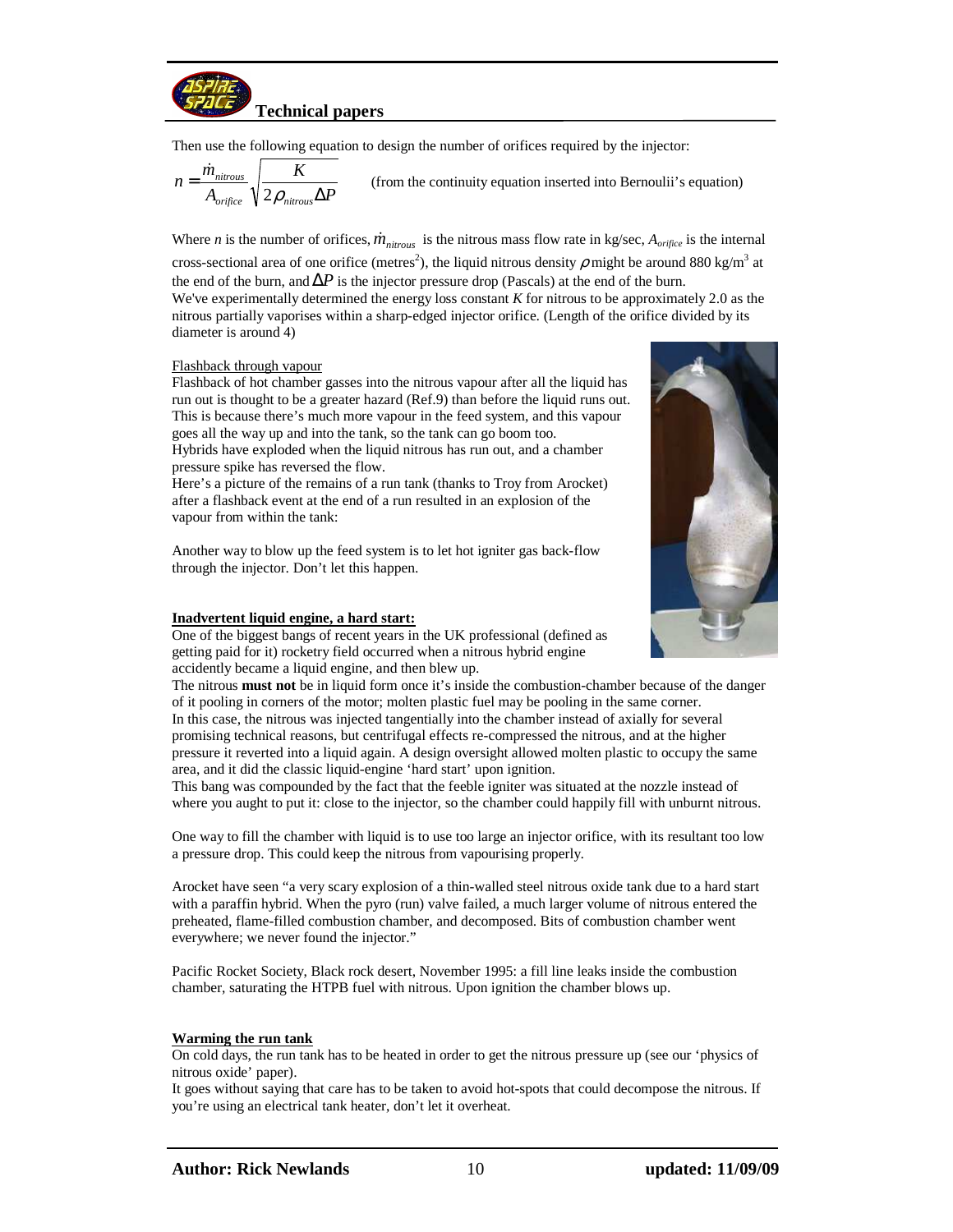

Then use the following equation to design the number of orifices required by the injector:

$$
n = \frac{\dot{m}_{nitrous}}{A_{\text{orifice}}} \sqrt{\frac{K}{2\rho_{nitrous} \Delta P}}
$$
 (from the continuity equation inserted into Bernouli's equation)

Where *n* is the number of orifices,  $\dot{m}_{n \text{irrows}}$  is the nitrous mass flow rate in kg/sec,  $A_{\text{orifice}}$  is the internal cross-sectional area of one orifice (metres<sup>2</sup>), the liquid nitrous density  $\rho$  might be around 880 kg/m<sup>3</sup> at the end of the burn, and  $\Delta P$  is the injector pressure drop (Pascals) at the end of the burn. We've experimentally determined the energy loss constant *K* for nitrous to be approximately 2.0 as the nitrous partially vaporises within a sharp-edged injector orifice. (Length of the orifice divided by its diameter is around 4)

## Flashback through vapour

Flashback of hot chamber gasses into the nitrous vapour after all the liquid has run out is thought to be a greater hazard (Ref.9) than before the liquid runs out. This is because there's much more vapour in the feed system, and this vapour goes all the way up and into the tank, so the tank can go boom too. Hybrids have exploded when the liquid nitrous has run out, and a chamber pressure spike has reversed the flow.

Here's a picture of the remains of a run tank (thanks to Troy from Arocket) after a flashback event at the end of a run resulted in an explosion of the vapour from within the tank:

Another way to blow up the feed system is to let hot igniter gas back-flow through the injector. Don't let this happen.

## **Inadvertent liquid engine, a hard start:**

One of the biggest bangs of recent years in the UK professional (defined as getting paid for it) rocketry field occurred when a nitrous hybrid engine accidently became a liquid engine, and then blew up.

The nitrous **must not** be in liquid form once it's inside the combustion-chamber because of the danger of it pooling in corners of the motor; molten plastic fuel may be pooling in the same corner. In this case, the nitrous was injected tangentially into the chamber instead of axially for several promising technical reasons, but centrifugal effects re-compressed the nitrous, and at the higher pressure it reverted into a liquid again. A design oversight allowed molten plastic to occupy the same area, and it did the classic liquid-engine 'hard start' upon ignition.

This bang was compounded by the fact that the feeble igniter was situated at the nozzle instead of where you aught to put it: close to the injector, so the chamber could happily fill with unburnt nitrous.

One way to fill the chamber with liquid is to use too large an injector orifice, with its resultant too low a pressure drop. This could keep the nitrous from vapourising properly.

Arocket have seen "a very scary explosion of a thin-walled steel nitrous oxide tank due to a hard start with a paraffin hybrid. When the pyro (run) valve failed, a much larger volume of nitrous entered the preheated, flame-filled combustion chamber, and decomposed. Bits of combustion chamber went everywhere; we never found the injector."

Pacific Rocket Society, Black rock desert, November 1995: a fill line leaks inside the combustion chamber, saturating the HTPB fuel with nitrous. Upon ignition the chamber blows up.

## **Warming the run tank**

On cold days, the run tank has to be heated in order to get the nitrous pressure up (see our 'physics of nitrous oxide' paper).

It goes without saying that care has to be taken to avoid hot-spots that could decompose the nitrous. If you're using an electrical tank heater, don't let it overheat.

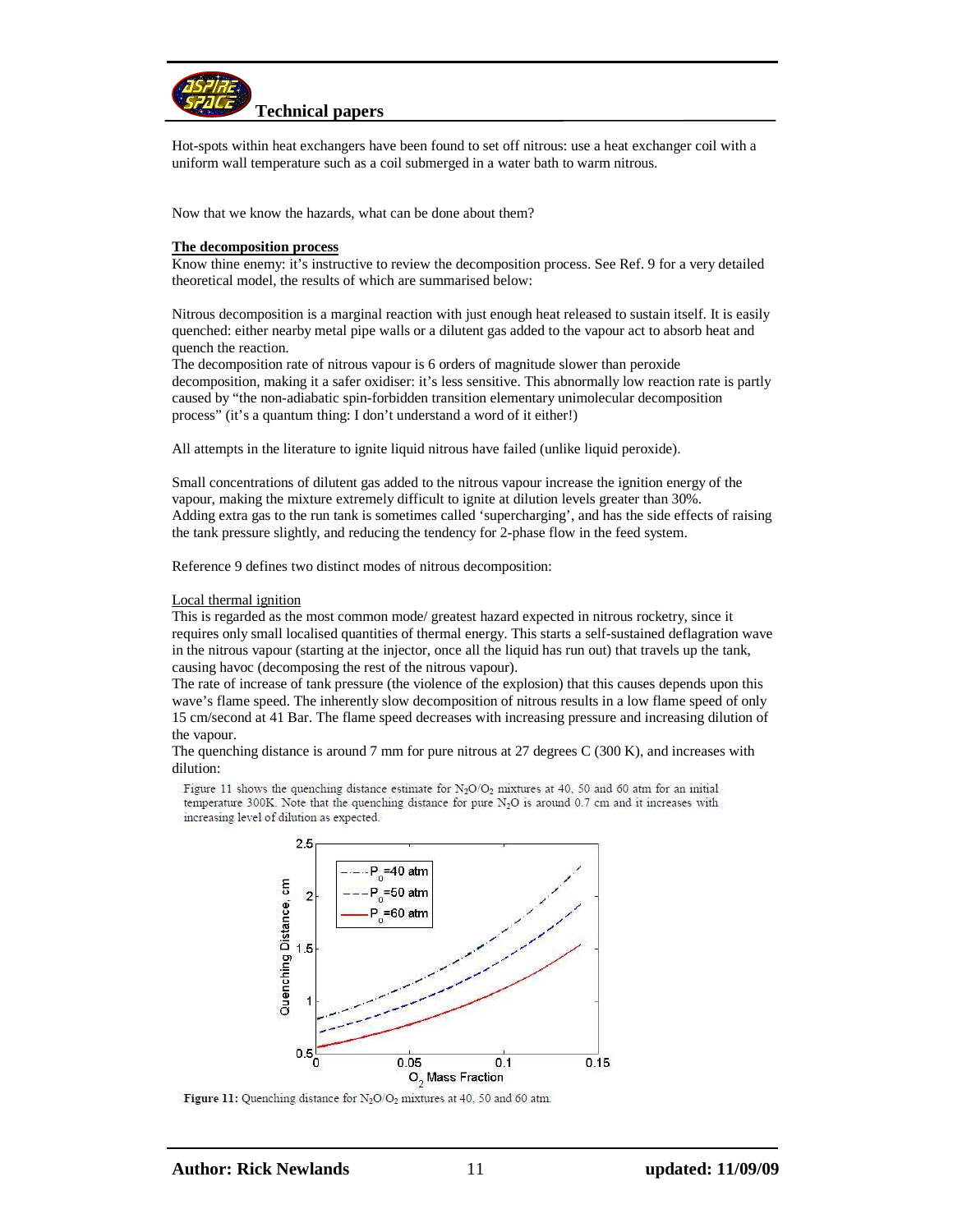

Hot-spots within heat exchangers have been found to set off nitrous: use a heat exchanger coil with a uniform wall temperature such as a coil submerged in a water bath to warm nitrous.

Now that we know the hazards, what can be done about them?

## **The decomposition process**

Know thine enemy: it's instructive to review the decomposition process. See Ref. 9 for a very detailed theoretical model, the results of which are summarised below:

Nitrous decomposition is a marginal reaction with just enough heat released to sustain itself. It is easily quenched: either nearby metal pipe walls or a dilutent gas added to the vapour act to absorb heat and quench the reaction.

The decomposition rate of nitrous vapour is 6 orders of magnitude slower than peroxide decomposition, making it a safer oxidiser: it's less sensitive. This abnormally low reaction rate is partly caused by "the non-adiabatic spin-forbidden transition elementary unimolecular decomposition process" (it's a quantum thing: I don't understand a word of it either!)

All attempts in the literature to ignite liquid nitrous have failed (unlike liquid peroxide).

Small concentrations of dilutent gas added to the nitrous vapour increase the ignition energy of the vapour, making the mixture extremely difficult to ignite at dilution levels greater than 30%. Adding extra gas to the run tank is sometimes called 'supercharging', and has the side effects of raising the tank pressure slightly, and reducing the tendency for 2-phase flow in the feed system.

Reference 9 defines two distinct modes of nitrous decomposition:

## Local thermal ignition

This is regarded as the most common mode/ greatest hazard expected in nitrous rocketry, since it requires only small localised quantities of thermal energy. This starts a self-sustained deflagration wave in the nitrous vapour (starting at the injector, once all the liquid has run out) that travels up the tank, causing havoc (decomposing the rest of the nitrous vapour).

The rate of increase of tank pressure (the violence of the explosion) that this causes depends upon this wave's flame speed. The inherently slow decomposition of nitrous results in a low flame speed of only 15 cm/second at 41 Bar. The flame speed decreases with increasing pressure and increasing dilution of the vapour.

The quenching distance is around 7 mm for pure nitrous at 27 degrees C (300 K), and increases with dilution:

Figure 11 shows the quenching distance estimate for  $N_2O/O_2$  mixtures at 40, 50 and 60 atm for an initial temperature 300K. Note that the quenching distance for pure N<sub>2</sub>O is around 0.7 cm and it increases with increasing level of dilution as expected.



Figure 11: Quenching distance for N<sub>2</sub>O/O<sub>2</sub> mixtures at 40, 50 and 60 atm.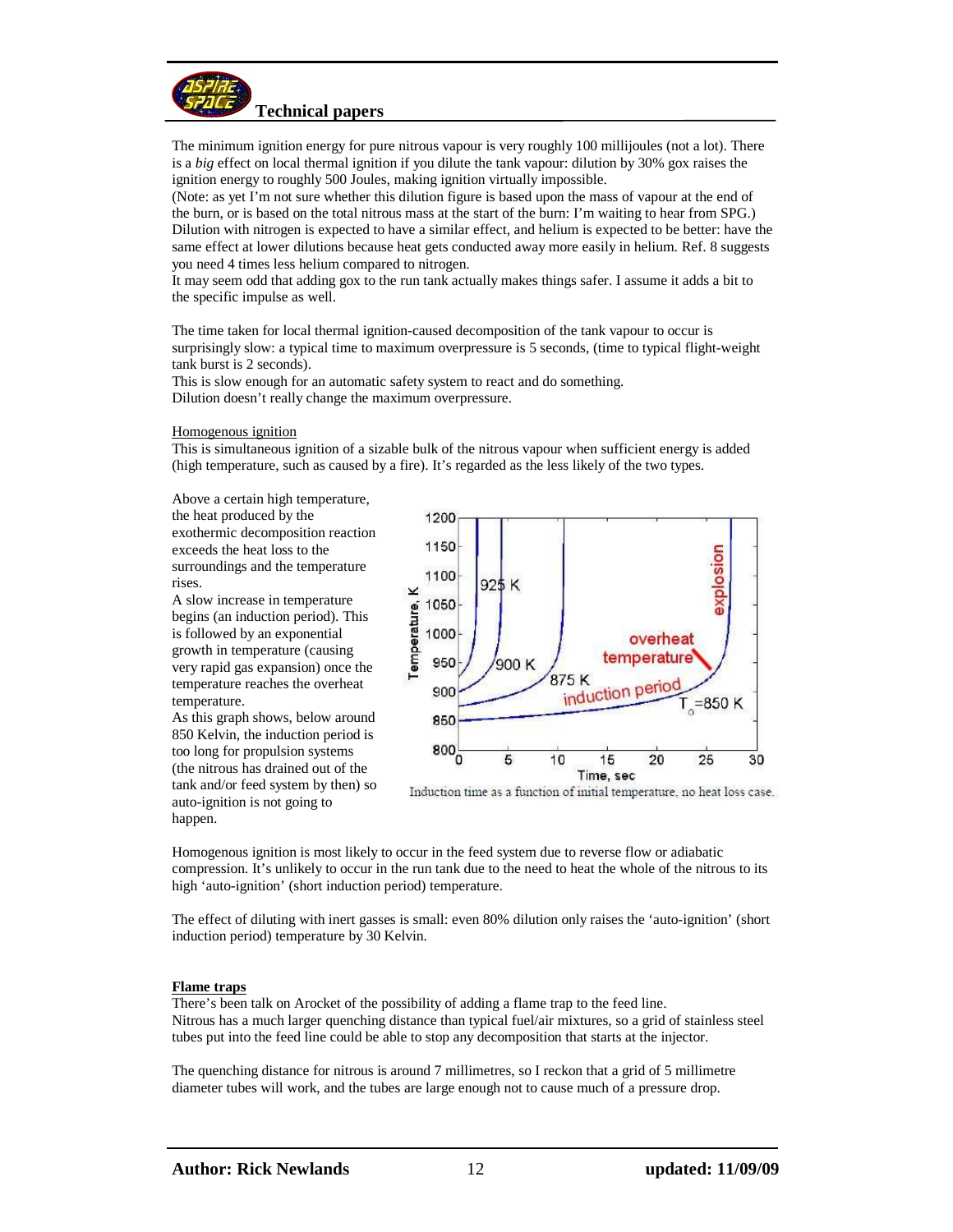

The minimum ignition energy for pure nitrous vapour is very roughly 100 millijoules (not a lot). There is a *big* effect on local thermal ignition if you dilute the tank vapour: dilution by 30% gox raises the ignition energy to roughly 500 Joules, making ignition virtually impossible.

(Note: as yet I'm not sure whether this dilution figure is based upon the mass of vapour at the end of the burn, or is based on the total nitrous mass at the start of the burn: I'm waiting to hear from SPG.) Dilution with nitrogen is expected to have a similar effect, and helium is expected to be better: have the same effect at lower dilutions because heat gets conducted away more easily in helium. Ref. 8 suggests you need 4 times less helium compared to nitrogen.

It may seem odd that adding gox to the run tank actually makes things safer. I assume it adds a bit to the specific impulse as well.

The time taken for local thermal ignition-caused decomposition of the tank vapour to occur is surprisingly slow: a typical time to maximum overpressure is 5 seconds, (time to typical flight-weight tank burst is 2 seconds).

This is slow enough for an automatic safety system to react and do something. Dilution doesn't really change the maximum overpressure.

#### Homogenous ignition

This is simultaneous ignition of a sizable bulk of the nitrous vapour when sufficient energy is added (high temperature, such as caused by a fire). It's regarded as the less likely of the two types.

Above a certain high temperature, the heat produced by the exothermic decomposition reaction exceeds the heat loss to the

surroundings and the temperature rises.

A slow increase in temperature begins (an induction period). This is followed by an exponential growth in temperature (causing very rapid gas expansion) once the temperature reaches the overheat temperature.

As this graph shows, below around 850 Kelvin, the induction period is too long for propulsion systems (the nitrous has drained out of the tank and/or feed system by then) so auto-ignition is not going to happen.



Induction time as a function of initial temperature, no heat loss case.

Homogenous ignition is most likely to occur in the feed system due to reverse flow or adiabatic compression. It's unlikely to occur in the run tank due to the need to heat the whole of the nitrous to its high 'auto-ignition' (short induction period) temperature.

The effect of diluting with inert gasses is small: even 80% dilution only raises the 'auto-ignition' (short induction period) temperature by 30 Kelvin.

#### **Flame traps**

There's been talk on Arocket of the possibility of adding a flame trap to the feed line. Nitrous has a much larger quenching distance than typical fuel/air mixtures, so a grid of stainless steel tubes put into the feed line could be able to stop any decomposition that starts at the injector.

The quenching distance for nitrous is around 7 millimetres, so I reckon that a grid of 5 millimetre diameter tubes will work, and the tubes are large enough not to cause much of a pressure drop.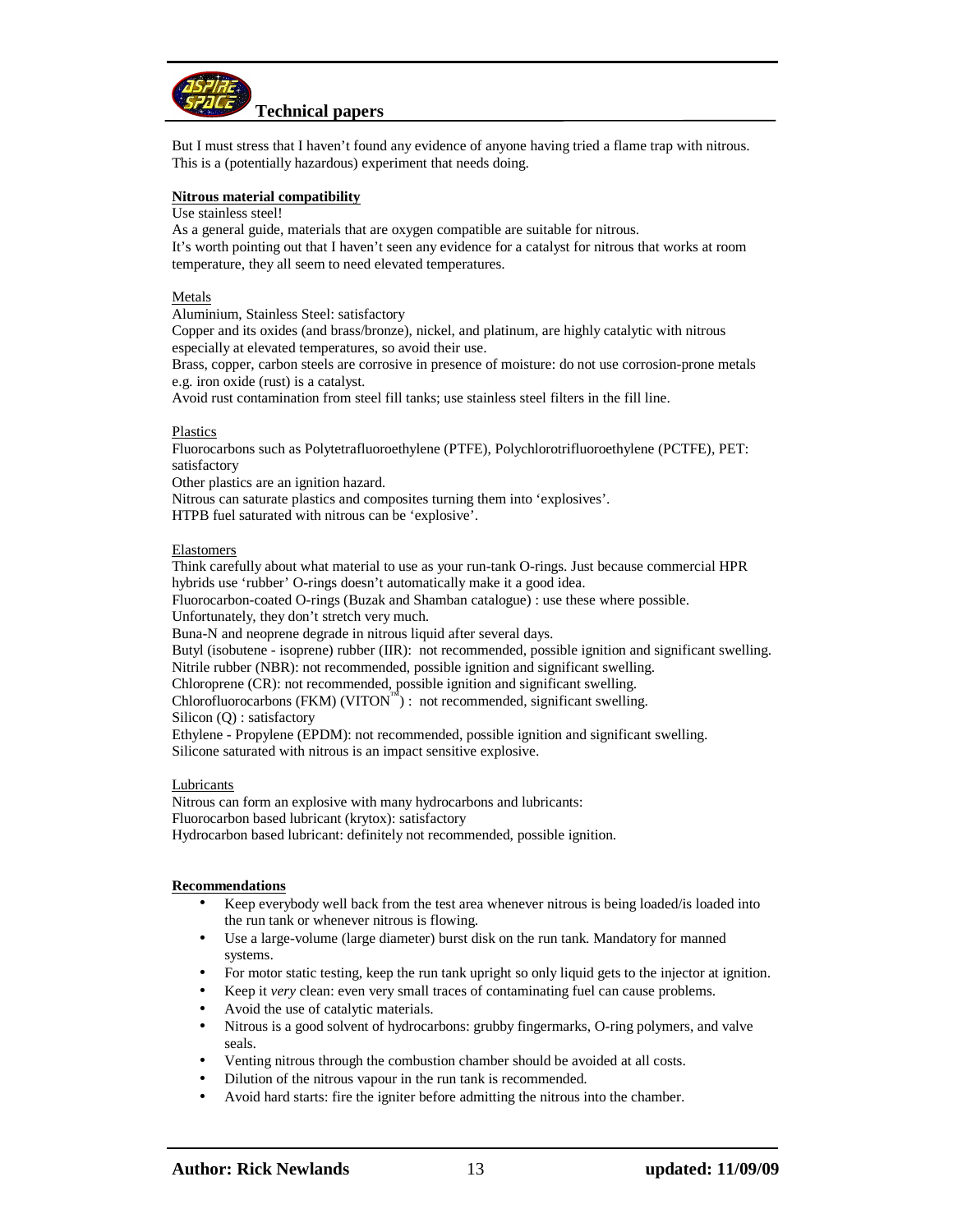

But I must stress that I haven't found any evidence of anyone having tried a flame trap with nitrous. This is a (potentially hazardous) experiment that needs doing.

## **Nitrous material compatibility**

#### Use stainless steel!

As a general guide, materials that are oxygen compatible are suitable for nitrous. It's worth pointing out that I haven't seen any evidence for a catalyst for nitrous that works at room temperature, they all seem to need elevated temperatures.

## Metals

Aluminium, Stainless Steel: satisfactory

Copper and its oxides (and brass/bronze), nickel, and platinum, are highly catalytic with nitrous especially at elevated temperatures, so avoid their use.

Brass, copper, carbon steels are corrosive in presence of moisture: do not use corrosion-prone metals e.g. iron oxide (rust) is a catalyst.

Avoid rust contamination from steel fill tanks; use stainless steel filters in the fill line.

## Plastics

Fluorocarbons such as Polytetrafluoroethylene (PTFE), Polychlorotrifluoroethylene (PCTFE), PET: satisfactory

Other plastics are an ignition hazard.

Nitrous can saturate plastics and composites turning them into 'explosives'.

HTPB fuel saturated with nitrous can be 'explosive'.

## Elastomers

Think carefully about what material to use as your run-tank O-rings. Just because commercial HPR hybrids use 'rubber' O-rings doesn't automatically make it a good idea.

Fluorocarbon-coated O-rings (Buzak and Shamban catalogue) : use these where possible.

Unfortunately, they don't stretch very much.

Buna-N and neoprene degrade in nitrous liquid after several days.

Butyl (isobutene - isoprene) rubber (IIR): not recommended, possible ignition and significant swelling. Nitrile rubber (NBR): not recommended, possible ignition and significant swelling.

Chloroprene (CR): not recommended, possible ignition and significant swelling.

Chlorofluorocarbons (FKM) (VITON $^{\text{TM}}$ ) : not recommended, significant swelling.

Silicon (Q) : satisfactory

Ethylene - Propylene (EPDM): not recommended, possible ignition and significant swelling. Silicone saturated with nitrous is an impact sensitive explosive.

## Lubricants

Nitrous can form an explosive with many hydrocarbons and lubricants: Fluorocarbon based lubricant (krytox): satisfactory Hydrocarbon based lubricant: definitely not recommended, possible ignition.

## **Recommendations**

- Keep everybody well back from the test area whenever nitrous is being loaded/is loaded into the run tank or whenever nitrous is flowing.
- Use a large-volume (large diameter) burst disk on the run tank. Mandatory for manned systems.
- For motor static testing, keep the run tank upright so only liquid gets to the injector at ignition.
- Keep it *very* clean: even very small traces of contaminating fuel can cause problems.
- Avoid the use of catalytic materials.
- Nitrous is a good solvent of hydrocarbons: grubby fingermarks, O-ring polymers, and valve seals.
- Venting nitrous through the combustion chamber should be avoided at all costs.
- Dilution of the nitrous vapour in the run tank is recommended.
- Avoid hard starts: fire the igniter before admitting the nitrous into the chamber.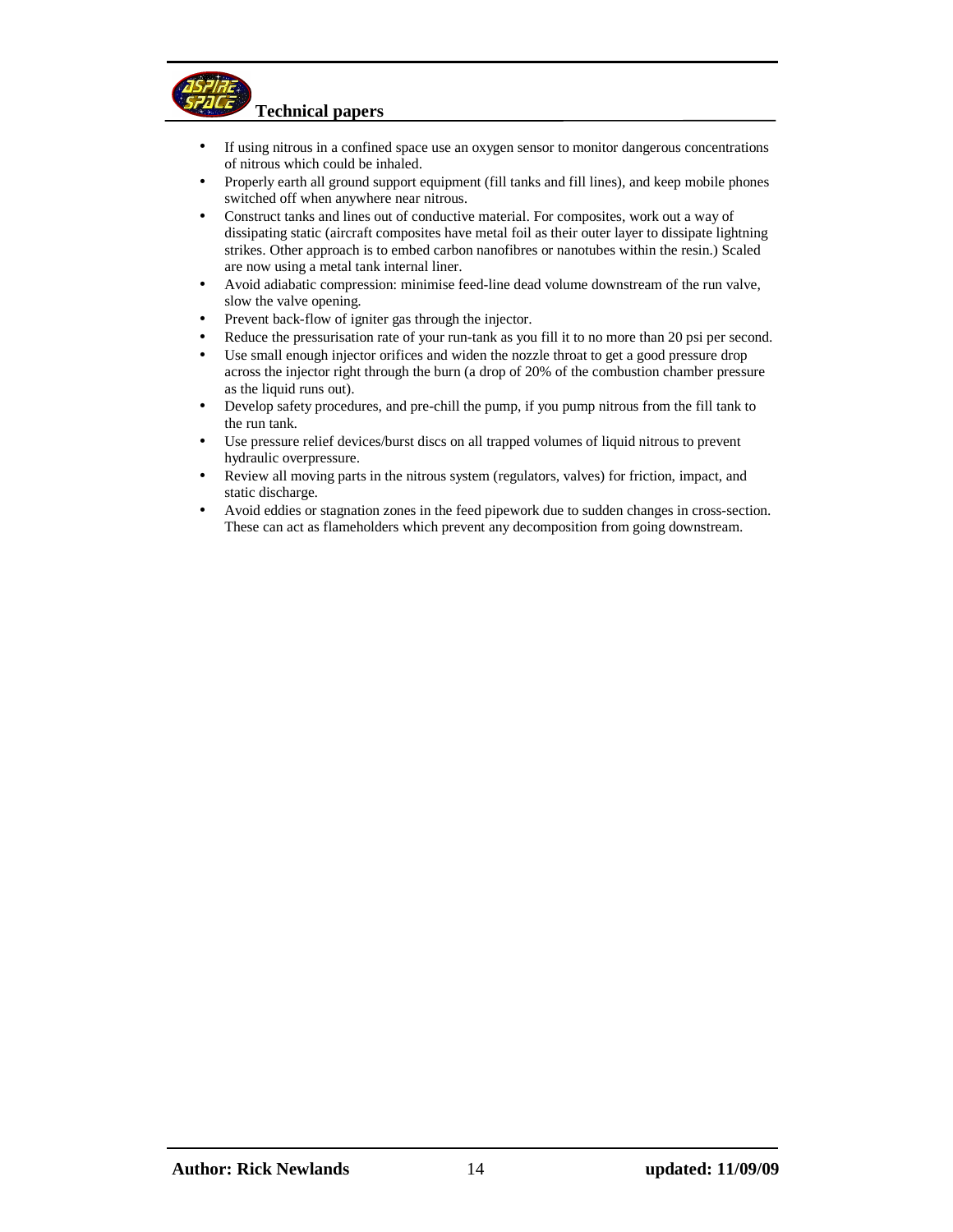

- If using nitrous in a confined space use an oxygen sensor to monitor dangerous concentrations of nitrous which could be inhaled.
- Properly earth all ground support equipment (fill tanks and fill lines), and keep mobile phones switched off when anywhere near nitrous.
- Construct tanks and lines out of conductive material. For composites, work out a way of dissipating static (aircraft composites have metal foil as their outer layer to dissipate lightning strikes. Other approach is to embed carbon nanofibres or nanotubes within the resin.) Scaled are now using a metal tank internal liner.
- Avoid adiabatic compression: minimise feed-line dead volume downstream of the run valve, slow the valve opening.
- Prevent back-flow of igniter gas through the injector.
- Reduce the pressurisation rate of your run-tank as you fill it to no more than 20 psi per second.
- Use small enough injector orifices and widen the nozzle throat to get a good pressure drop across the injector right through the burn (a drop of 20% of the combustion chamber pressure as the liquid runs out).
- Develop safety procedures, and pre-chill the pump, if you pump nitrous from the fill tank to the run tank.
- Use pressure relief devices/burst discs on all trapped volumes of liquid nitrous to prevent hydraulic overpressure.
- Review all moving parts in the nitrous system (regulators, valves) for friction, impact, and static discharge.
- Avoid eddies or stagnation zones in the feed pipework due to sudden changes in cross-section. These can act as flameholders which prevent any decomposition from going downstream.